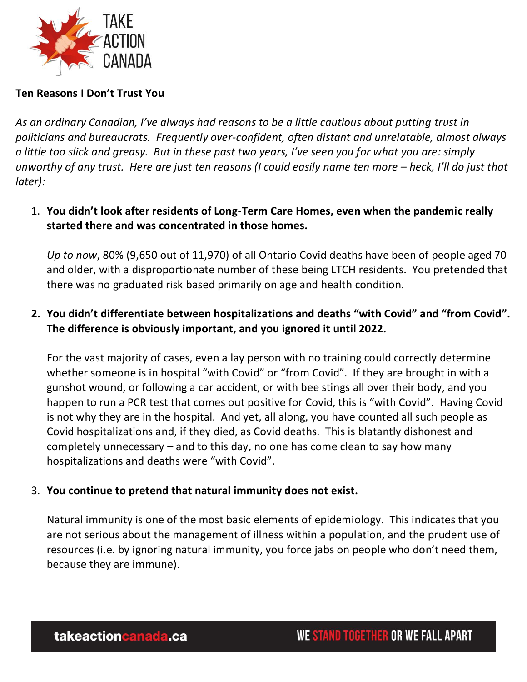

### **Ten Reasons I Don't Trust You**

As an ordinary Canadian, I've always had reasons to be a little cautious about putting trust in *politicians and bureaucrats. Frequently over-confident, often distant and unrelatable, almost always a little too slick and greasy. But in these past two years, I've seen you for what you are: simply unworthy of any trust. Here are just ten reasons (I could easily name ten more – heck, I'll do just that later):* 

1. **You didn't look after residents of Long-Term Care Homes, even when the pandemic really started there and was concentrated in those homes.** 

*Up to now*, 80% (9,650 out of 11,970) of all Ontario Covid deaths have been of people aged 70 and older, with a disproportionate number of these being LTCH residents. You pretended that there was no graduated risk based primarily on age and health condition.

**2. You didn't differentiate between hospitalizations and deaths "with Covid" and "from Covid". The difference is obviously important, and you ignored it until 2022.** 

For the vast majority of cases, even a lay person with no training could correctly determine whether someone is in hospital "with Covid" or "from Covid". If they are brought in with a gunshot wound, or following a car accident, or with bee stings all over their body, and you happen to run a PCR test that comes out positive for Covid, this is "with Covid". Having Covid is not why they are in the hospital. And yet, all along, you have counted all such people as Covid hospitalizations and, if they died, as Covid deaths. This is blatantly dishonest and completely unnecessary – and to this day, no one has come clean to say how many hospitalizations and deaths were "with Covid".

#### 3. **You continue to pretend that natural immunity does not exist.**

Natural immunity is one of the most basic elements of epidemiology. This indicates that you are not serious about the management of illness within a population, and the prudent use of resources (i.e. by ignoring natural immunity, you force jabs on people who don't need them, because they are immune).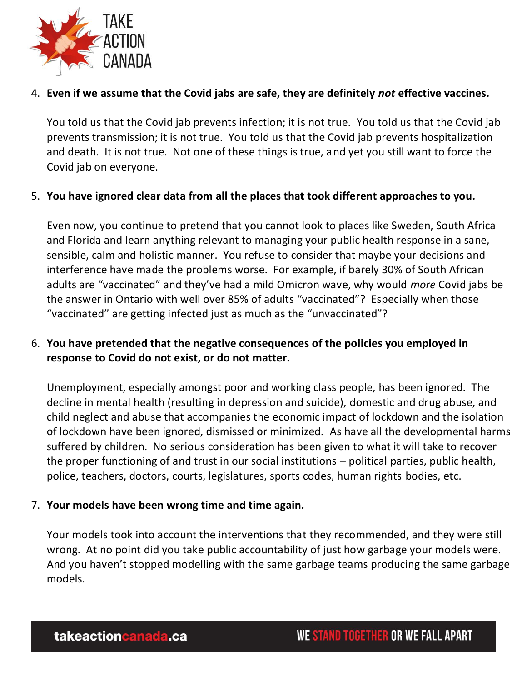

### 4. **Even if we assume that the Covid jabs are safe, they are definitely** *not* **effective vaccines.**

You told us that the Covid jab prevents infection; it is not true. You told us that the Covid jab prevents transmission; it is not true. You told us that the Covid jab prevents hospitalization and death. It is not true. Not one of these things is true, and yet you still want to force the Covid jab on everyone.

### 5. **You have ignored clear data from all the places that took different approaches to you.**

Even now, you continue to pretend that you cannot look to places like Sweden, South Africa and Florida and learn anything relevant to managing your public health response in a sane, sensible, calm and holistic manner. You refuse to consider that maybe your decisions and interference have made the problems worse. For example, if barely 30% of South African adults are "vaccinated" and they've had a mild Omicron wave, why would *more* Covid jabs be the answer in Ontario with well over 85% of adults "vaccinated"? Especially when those "vaccinated" are getting infected just as much as the "unvaccinated"?

## 6. **You have pretended that the negative consequences of the policies you employed in response to Covid do not exist, or do not matter.**

Unemployment, especially amongst poor and working class people, has been ignored. The decline in mental health (resulting in depression and suicide), domestic and drug abuse, and child neglect and abuse that accompanies the economic impact of lockdown and the isolation of lockdown have been ignored, dismissed or minimized. As have all the developmental harms suffered by children. No serious consideration has been given to what it will take to recover the proper functioning of and trust in our social institutions – political parties, public health, police, teachers, doctors, courts, legislatures, sports codes, human rights bodies, etc.

### 7. **Your models have been wrong time and time again.**

Your models took into account the interventions that they recommended, and they were still wrong. At no point did you take public accountability of just how garbage your models were. And you haven't stopped modelling with the same garbage teams producing the same garbage models.